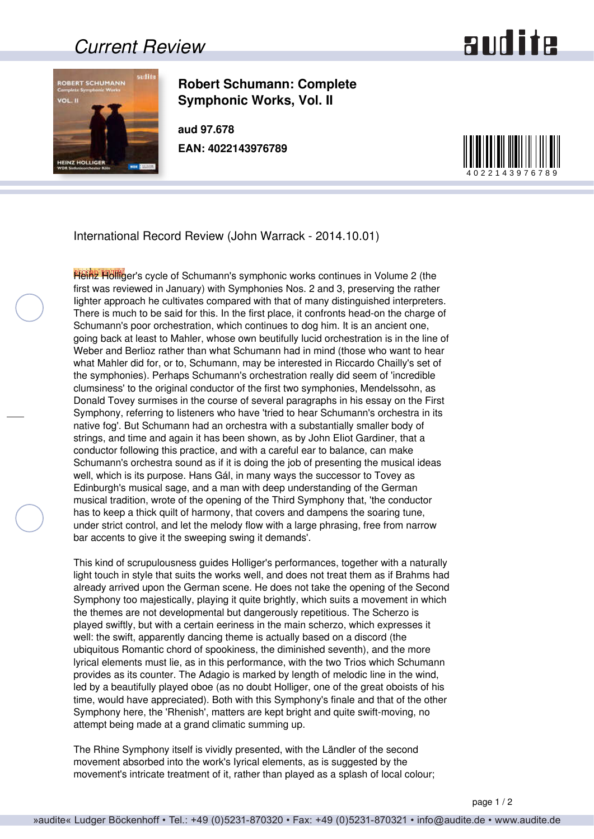## *Current Review*





**Robert Schumann: Complete Symphonic Works, Vol. II**

**aud 97.678 EAN: 4022143976789**



International Record Review (John Warrack - 2014.10.01)

Heinz Holliger's cycle of Schumann's symphonic works continues in Volume 2 (the first was reviewed in January) with Symphonies Nos. 2 and 3, preserving the rather Iighter approach he cultivates compared with that of many distinguished interpreters. There is much to be said for this. In the first place, it confronts head-on the charge of Schumann's poor orchestration, which continues to dog him. It is an ancient one, going back at least to Mahler, whose own beutifully lucid orchestration is in the line of Weber and Berlioz rather than what Schumann had in mind (those who want to hear what Mahler did for, or to, Schumann, may be interested in Riccardo Chailly's set of the symphonies). Perhaps Schumann's orchestration really did seem of 'incredible clumsiness' to the original conductor of the first two symphonies, Mendelssohn, as Donald Tovey surmises in the course of several paragraphs in his essay on the First Symphony, referring to listeners who have 'tried to hear Schumann's orchestra in its native fog'. But Schumann had an orchestra with a substantially smaller body of strings, and time and again it has been shown, as by John EIiot Gardiner, that a conductor following this practice, and with a careful ear to balance, can make Schumann's orchestra sound as if it is doing the job of presenting the musical ideas well, which is its purpose. Hans Gál, in many ways the successor to Tovey as Edinburgh's musical sage, and a man with deep understanding of the German musical tradition, wrote of the opening of the Third Symphony that, 'the conductor has to keep a thick quilt of harmony, that covers and dampens the soaring tune, under strict control, and let the melody flow with a large phrasing, free from narrow bar accents to give it the sweeping swing it demands'.

This kind of scrupulousness guides Holliger's performances, together with a naturally light touch in style that suits the works well, and does not treat them as if Brahms had already arrived upon the German scene. He does not take the opening of the Second Symphony too majestically, playing it quite brightly, which suits a movement in which the themes are not developmental but dangerously repetitious. The Scherzo is played swiftly, but with a certain eeriness in the main scherzo, which expresses it well: the swift, apparently dancing theme is actually based on a discord (the ubiquitous Romantic chord of spookiness, the diminished seventh), and the more lyrical elements must lie, as in this performance, with the two Trios which Schumann provides as its counter. The Adagio is marked by length of melodic line in the wind, led by a beautifully played oboe (as no doubt Holliger, one of the great oboists of his time, would have appreciated). Both with this Symphony's finale and that of the other Symphony here, the 'Rhenish', matters are kept bright and quite swift-moving, no attempt being made at a grand climatic summing up.

The Rhine Symphony itself is vividly presented, with the Ländler of the second movement absorbed into the work's Iyrical elements, as is suggested by the movement's intricate treatment of it, rather than played as a splash of local colour;